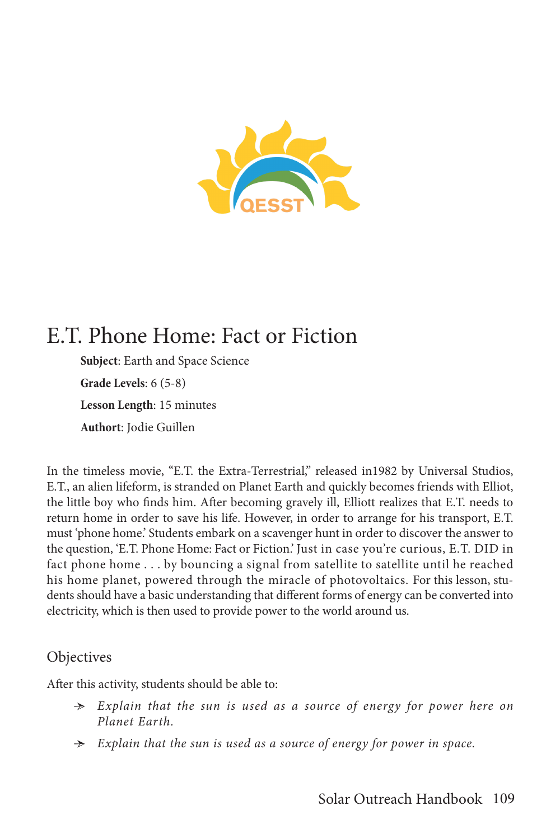

# E.T. Phone Home: Fact or Fiction

**Subject**: Earth and Space Science **Grade Levels**: 6 (5-8) **Lesson Length**: 15 minutes **Authort**: Jodie Guillen

In the timeless movie, "E.T. the Extra-Terrestrial," released in1982 by Universal Studios, E.T., an alien lifeform, is stranded on Planet Earth and quickly becomes friends with Elliot, the little boy who finds him. After becoming gravely ill, Elliott realizes that E.T. needs to return home in order to save his life. However, in order to arrange for his transport, E.T. must 'phone home.' Students embark on a scavenger hunt in order to discover the answer to the question, 'E.T. Phone Home: Fact or Fiction.' Just in case you're curious, E.T. DID in fact phone home . . . by bouncing a signal from satellite to satellite until he reached his home planet, powered through the miracle of photovoltaics. For this lesson, students should have a basic understanding that different forms of energy can be converted into electricity, which is then used to provide power to the world around us.

## Objectives

After this activity, students should be able to:

- Ӻ *Explain that the sun is used as a source of energy for power here on Planet Earth.*
- Ӻ *Explain that the sun is used as a source of energy for power in space.*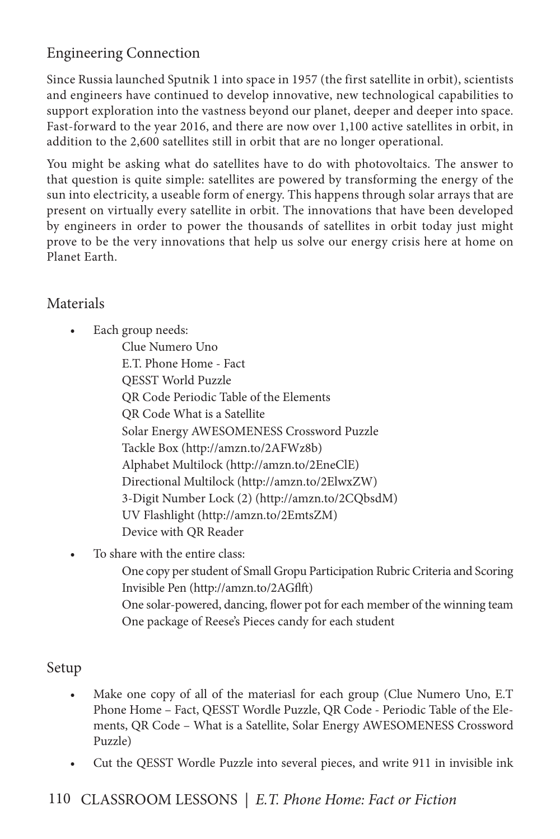# Engineering Connection

Since Russia launched Sputnik 1 into space in 1957 (the first satellite in orbit), scientists and engineers have continued to develop innovative, new technological capabilities to support exploration into the vastness beyond our planet, deeper and deeper into space. Fast-forward to the year 2016, and there are now over 1,100 active satellites in orbit, in addition to the 2,600 satellites still in orbit that are no longer operational.

You might be asking what do satellites have to do with photovoltaics. The answer to that question is quite simple: satellites are powered by transforming the energy of the sun into electricity, a useable form of energy. This happens through solar arrays that are present on virtually every satellite in orbit. The innovations that have been developed by engineers in order to power the thousands of satellites in orbit today just might prove to be the very innovations that help us solve our energy crisis here at home on Planet Earth.

# Materials

- Each group needs:
	- Clue Numero Uno E.T. Phone Home - Fact QESST World Puzzle QR Code Periodic Table of the Elements QR Code What is a Satellite Solar Energy AWESOMENESS Crossword Puzzle Tackle Box (http://amzn.to/2AFWz8b) Alphabet Multilock (http://amzn.to/2EneClE) Directional Multilock (http://amzn.to/2ElwxZW) 3-Digit Number Lock (2) (http://amzn.to/2CQbsdM) UV Flashlight (http://amzn.to/2EmtsZM) Device with QR Reader
- To share with the entire class:
	- One copy per student of Small Gropu Participation Rubric Criteria and Scoring Invisible Pen (http://amzn.to/2AGflft)
	- One solar-powered, dancing, flower pot for each member of the winning team One package of Reese's Pieces candy for each student

# Setup

- Make one copy of all of the materiasl for each group (Clue Numero Uno, E.T Phone Home – Fact, QESST Wordle Puzzle, QR Code - Periodic Table of the Elements, QR Code – What is a Satellite, Solar Energy AWESOMENESS Crossword Puzzle)
- Cut the QESST Wordle Puzzle into several pieces, and write 911 in invisible ink

# 110 CLASSROOM LESSONS *| E.T. Phone Home: Fact or Fiction*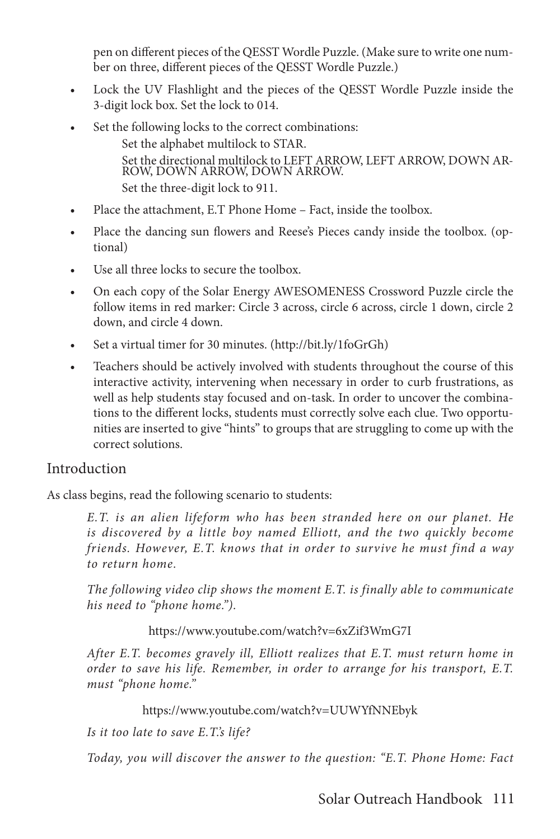pen on different pieces of the QESST Wordle Puzzle. (Make sure to write one number on three, different pieces of the QESST Wordle Puzzle.)

- Lock the UV Flashlight and the pieces of the QESST Wordle Puzzle inside the 3-digit lock box. Set the lock to 014.
- Set the following locks to the correct combinations: Set the alphabet multilock to STAR. Set the directional multilock to LEFT ARROW, LEFT ARROW, DOWN AR- ROW, DOWN ARROW, DOWN ARROW. Set the three-digit lock to 911.
- Place the attachment, E.T Phone Home Fact, inside the toolbox.
- Place the dancing sun flowers and Reese's Pieces candy inside the toolbox. (optional)
- Use all three locks to secure the toolbox.
- On each copy of the Solar Energy AWESOMENESS Crossword Puzzle circle the follow items in red marker: Circle 3 across, circle 6 across, circle 1 down, circle 2 down, and circle 4 down.
- Set a virtual timer for 30 minutes. (http://bit.ly/1foGrGh)
- Teachers should be actively involved with students throughout the course of this interactive activity, intervening when necessary in order to curb frustrations, as well as help students stay focused and on-task. In order to uncover the combinations to the different locks, students must correctly solve each clue. Two opportunities are inserted to give "hints" to groups that are struggling to come up with the correct solutions.

### Introduction

As class begins, read the following scenario to students:

*E.T. is an alien lifeform who has been stranded here on our planet. He is discovered by a little boy named Elliott, and the two quickly become friends. However, E.T. knows that in order to survive he must find a way to return home.* 

*The following video clip shows the moment E.T. is finally able to communicate his need to "phone home.").*

#### https://www.youtube.com/watch?v=6xZif3WmG7I

*After E.T. becomes gravely ill, Elliott realizes that E.T. must return home in order to save his life. Remember, in order to arrange for his transport, E.T. must "phone home."*

#### https://www.youtube.com/watch?v=UUWYfNNEbyk

*Is it too late to save E.T.'s life?*

*Today, you will discover the answer to the question: "E.T. Phone Home: Fact*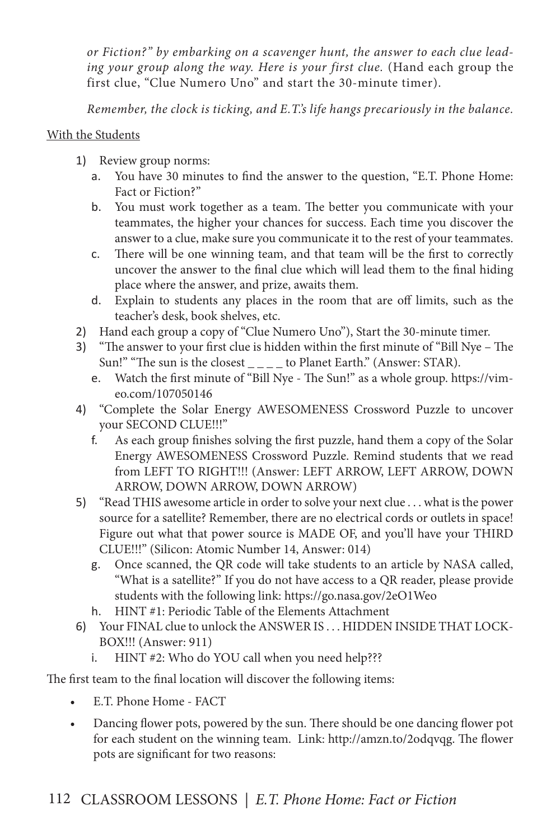*or Fiction?" by embarking on a scavenger hunt, the answer to each clue leading your group along the way. Here is your first clue.* (Hand each group the first clue, "Clue Numero Uno" and start the 30-minute timer).

*Remember, the clock is ticking, and E.T.'s life hangs precariously in the balance.*

### With the Students

- 1) Review group norms:
	- a. You have 30 minutes to find the answer to the question, "E.T. Phone Home: Fact or Fiction?"
	- b. You must work together as a team. The better you communicate with your teammates, the higher your chances for success. Each time you discover the answer to a clue, make sure you communicate it to the rest of your teammates.
	- c. There will be one winning team, and that team will be the first to correctly uncover the answer to the final clue which will lead them to the final hiding place where the answer, and prize, awaits them.
	- d. Explain to students any places in the room that are off limits, such as the teacher's desk, book shelves, etc.
- 2) Hand each group a copy of "Clue Numero Uno"), Start the 30-minute timer.
- 3) "The answer to your first clue is hidden within the first minute of "Bill Nye The Sun!" "The sun is the closest  $\frac{1}{1-\frac{1}{1-\frac{1}{1-\frac{1}{1-\frac{1}{1-\frac{1}{1-\frac{1}{1-\frac{1}{1-\frac{1}{1-\frac{1}{1-\frac{1}{1-\frac{1}{1-\frac{1}{1-\frac{1}{1-\frac{1}{1-\frac{1}{1-\frac{1}{1-\frac{1}{1-\frac{1}{1-\frac{1}{1-\frac{1}{1-\frac{1}{1-\frac{1}{1-\frac{1}{1-\frac{1}{1-\frac{1}{1-\frac{1}{1-\frac{1}{1-\frac{1}{1-\frac{1}{1-\frac{1}{1-\frac{1$ 
	- e. Watch the first minute of "Bill Nye The Sun!" as a whole group. https://vimeo.com/107050146
- 4) "Complete the Solar Energy AWESOMENESS Crossword Puzzle to uncover your SECOND CLUE!!!"
	- f. As each group finishes solving the first puzzle, hand them a copy of the Solar Energy AWESOMENESS Crossword Puzzle. Remind students that we read from LEFT TO RIGHT!!! (Answer: LEFT ARROW, LEFT ARROW, DOWN ARROW, DOWN ARROW, DOWN ARROW)
- 5) "Read THIS awesome article in order to solve your next clue . . . what is the power source for a satellite? Remember, there are no electrical cords or outlets in space! Figure out what that power source is MADE OF, and you'll have your THIRD CLUE!!!" (Silicon: Atomic Number 14, Answer: 014)
	- g. Once scanned, the QR code will take students to an article by NASA called, "What is a satellite?" If you do not have access to a QR reader, please provide students with the following link: https://go.nasa.gov/2eO1Weo
	- h. HINT #1: Periodic Table of the Elements Attachment
- 6) Your FINAL clue to unlock the ANSWER IS . . . HIDDEN INSIDE THAT LOCK-BOX!!! (Answer: 911)
	- i. HINT #2: Who do YOU call when you need help???

The first team to the final location will discover the following items:

- E.T. Phone Home FACT
- Dancing flower pots, powered by the sun. There should be one dancing flower pot for each student on the winning team. Link: http://amzn.to/2odqvqg. The flower pots are significant for two reasons: